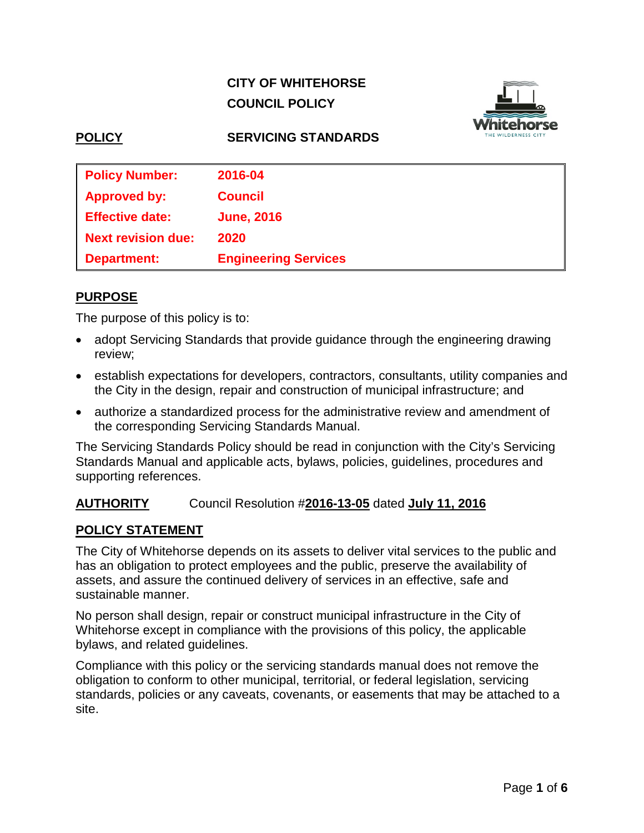# **CITY OF WHITEHORSE COUNCIL POLICY**



# **POLICY SERVICING STANDARDS**

| <b>Policy Number:</b>     | 2016-04                     |
|---------------------------|-----------------------------|
| <b>Approved by:</b>       | <b>Council</b>              |
| <b>Effective date:</b>    | <b>June, 2016</b>           |
| <b>Next revision due:</b> | 2020                        |
| <b>Department:</b>        | <b>Engineering Services</b> |

# **PURPOSE**

The purpose of this policy is to:

- adopt Servicing Standards that provide guidance through the engineering drawing review;
- establish expectations for developers, contractors, consultants, utility companies and the City in the design, repair and construction of municipal infrastructure; and
- authorize a standardized process for the administrative review and amendment of the corresponding Servicing Standards Manual.

The Servicing Standards Policy should be read in conjunction with the City's Servicing Standards Manual and applicable acts, bylaws, policies, guidelines, procedures and supporting references.

# **AUTHORITY** Council Resolution #**2016-13-05** dated **July 11, 2016**

# **POLICY STATEMENT**

The City of Whitehorse depends on its assets to deliver vital services to the public and has an obligation to protect employees and the public, preserve the availability of assets, and assure the continued delivery of services in an effective, safe and sustainable manner.

No person shall design, repair or construct municipal infrastructure in the City of Whitehorse except in compliance with the provisions of this policy, the applicable bylaws, and related guidelines.

Compliance with this policy or the servicing standards manual does not remove the obligation to conform to other municipal, territorial, or federal legislation, servicing standards, policies or any caveats, covenants, or easements that may be attached to a site.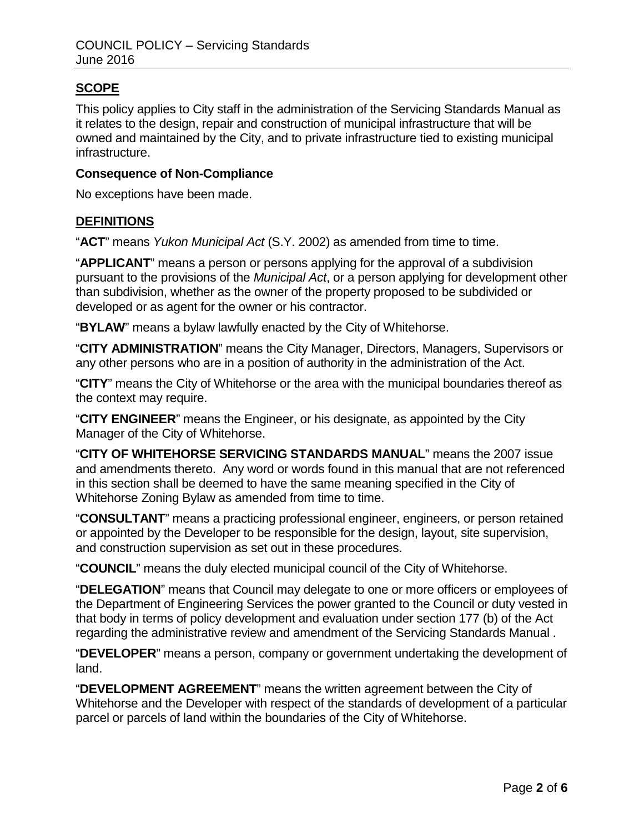# **SCOPE**

This policy applies to City staff in the administration of the Servicing Standards Manual as it relates to the design, repair and construction of municipal infrastructure that will be owned and maintained by the City, and to private infrastructure tied to existing municipal infrastructure.

#### **Consequence of Non-Compliance**

No exceptions have been made.

#### **DEFINITIONS**

"**ACT**" means *Yukon Municipal Act* (S.Y. 2002) as amended from time to time.

"**APPLICANT**" means a person or persons applying for the approval of a subdivision pursuant to the provisions of the *Municipal Act*, or a person applying for development other than subdivision, whether as the owner of the property proposed to be subdivided or developed or as agent for the owner or his contractor.

"**BYLAW**" means a bylaw lawfully enacted by the City of Whitehorse.

"**CITY ADMINISTRATION**" means the City Manager, Directors, Managers, Supervisors or any other persons who are in a position of authority in the administration of the Act.

"**CITY**" means the City of Whitehorse or the area with the municipal boundaries thereof as the context may require.

"**CITY ENGINEER**" means the Engineer, or his designate, as appointed by the City Manager of the City of Whitehorse.

"**CITY OF WHITEHORSE SERVICING STANDARDS MANUAL**" means the 2007 issue and amendments thereto. Any word or words found in this manual that are not referenced in this section shall be deemed to have the same meaning specified in the City of Whitehorse Zoning Bylaw as amended from time to time.

"**CONSULTANT**" means a practicing professional engineer, engineers, or person retained or appointed by the Developer to be responsible for the design, layout, site supervision, and construction supervision as set out in these procedures.

"**COUNCIL**" means the duly elected municipal council of the City of Whitehorse.

"**DELEGATION**" means that Council may delegate to one or more officers or employees of the Department of Engineering Services the power granted to the Council or duty vested in that body in terms of policy development and evaluation under section 177 (b) of the Act regarding the administrative review and amendment of the Servicing Standards Manual .

"**DEVELOPER**" means a person, company or government undertaking the development of land.

"**DEVELOPMENT AGREEMENT**" means the written agreement between the City of Whitehorse and the Developer with respect of the standards of development of a particular parcel or parcels of land within the boundaries of the City of Whitehorse.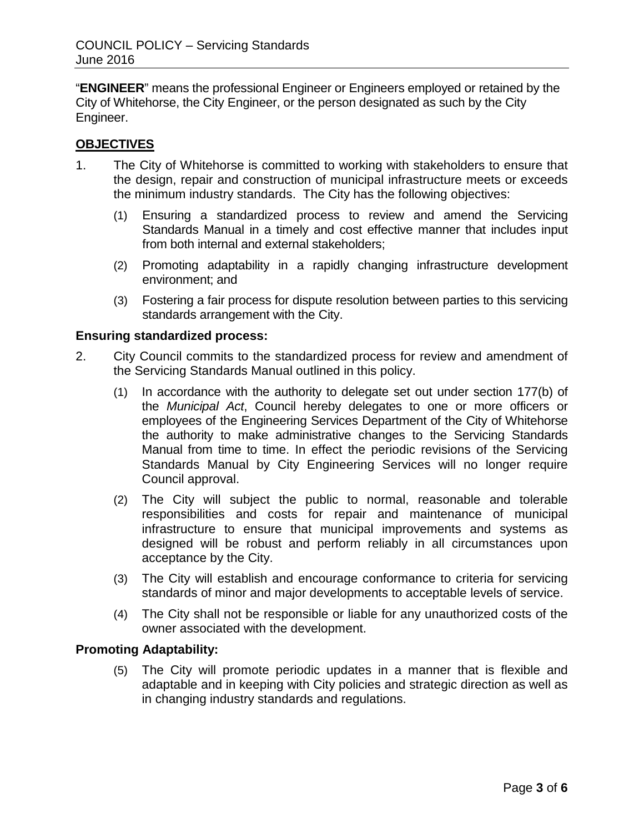"**ENGINEER**" means the professional Engineer or Engineers employed or retained by the City of Whitehorse, the City Engineer, or the person designated as such by the City Engineer.

# **OBJECTIVES**

- 1. The City of Whitehorse is committed to working with stakeholders to ensure that the design, repair and construction of municipal infrastructure meets or exceeds the minimum industry standards. The City has the following objectives:
	- (1) Ensuring a standardized process to review and amend the Servicing Standards Manual in a timely and cost effective manner that includes input from both internal and external stakeholders;
	- (2) Promoting adaptability in a rapidly changing infrastructure development environment; and
	- (3) Fostering a fair process for dispute resolution between parties to this servicing standards arrangement with the City.

# **Ensuring standardized process:**

- 2. City Council commits to the standardized process for review and amendment of the Servicing Standards Manual outlined in this policy.
	- (1) In accordance with the authority to delegate set out under section 177(b) of the *Municipal Act*, Council hereby delegates to one or more officers or employees of the Engineering Services Department of the City of Whitehorse the authority to make administrative changes to the Servicing Standards Manual from time to time. In effect the periodic revisions of the Servicing Standards Manual by City Engineering Services will no longer require Council approval.
	- (2) The City will subject the public to normal, reasonable and tolerable responsibilities and costs for repair and maintenance of municipal infrastructure to ensure that municipal improvements and systems as designed will be robust and perform reliably in all circumstances upon acceptance by the City.
	- (3) The City will establish and encourage conformance to criteria for servicing standards of minor and major developments to acceptable levels of service.
	- (4) The City shall not be responsible or liable for any unauthorized costs of the owner associated with the development.

# **Promoting Adaptability:**

(5) The City will promote periodic updates in a manner that is flexible and adaptable and in keeping with City policies and strategic direction as well as in changing industry standards and regulations.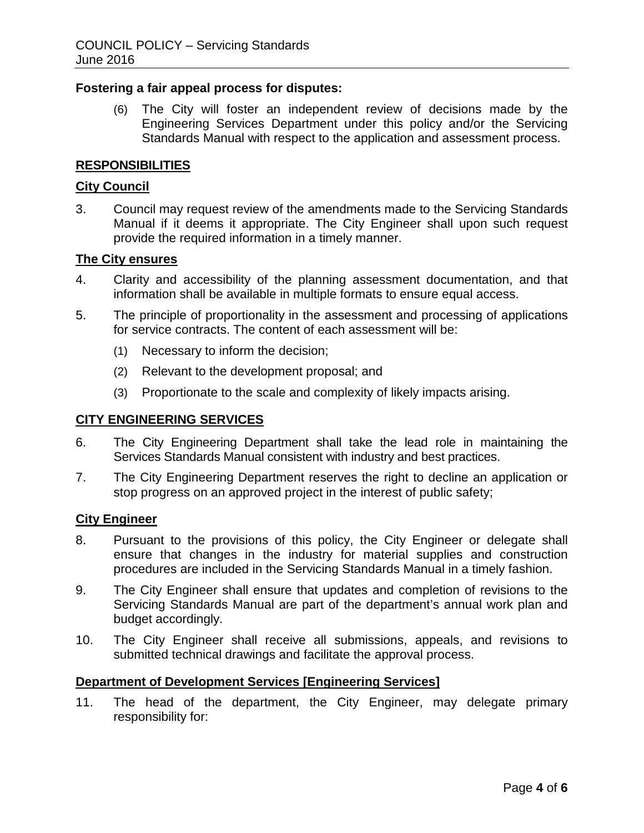### **Fostering a fair appeal process for disputes:**

(6) The City will foster an independent review of decisions made by the Engineering Services Department under this policy and/or the Servicing Standards Manual with respect to the application and assessment process.

## **RESPONSIBILITIES**

### **City Council**

3. Council may request review of the amendments made to the Servicing Standards Manual if it deems it appropriate. The City Engineer shall upon such request provide the required information in a timely manner.

#### **The City ensures**

- 4. Clarity and accessibility of the planning assessment documentation, and that information shall be available in multiple formats to ensure equal access.
- 5. The principle of proportionality in the assessment and processing of applications for service contracts. The content of each assessment will be:
	- (1) Necessary to inform the decision;
	- (2) Relevant to the development proposal; and
	- (3) Proportionate to the scale and complexity of likely impacts arising.

#### **CITY ENGINEERING SERVICES**

- 6. The City Engineering Department shall take the lead role in maintaining the Services Standards Manual consistent with industry and best practices.
- 7. The City Engineering Department reserves the right to decline an application or stop progress on an approved project in the interest of public safety;

#### **City Engineer**

- 8. Pursuant to the provisions of this policy, the City Engineer or delegate shall ensure that changes in the industry for material supplies and construction procedures are included in the Servicing Standards Manual in a timely fashion.
- 9. The City Engineer shall ensure that updates and completion of revisions to the Servicing Standards Manual are part of the department's annual work plan and budget accordingly.
- 10. The City Engineer shall receive all submissions, appeals, and revisions to submitted technical drawings and facilitate the approval process.

#### **Department of Development Services [Engineering Services]**

11. The head of the department, the City Engineer, may delegate primary responsibility for: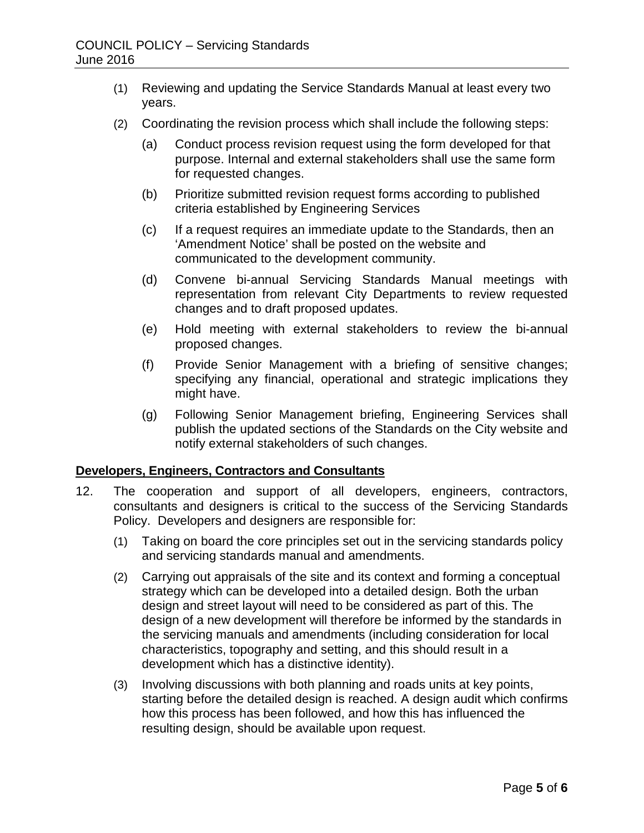- (1) Reviewing and updating the Service Standards Manual at least every two years.
- (2) Coordinating the revision process which shall include the following steps:
	- (a) Conduct process revision request using the form developed for that purpose. Internal and external stakeholders shall use the same form for requested changes.
	- (b) Prioritize submitted revision request forms according to published criteria established by Engineering Services
	- (c) If a request requires an immediate update to the Standards, then an 'Amendment Notice' shall be posted on the website and communicated to the development community.
	- (d) Convene bi-annual Servicing Standards Manual meetings with representation from relevant City Departments to review requested changes and to draft proposed updates.
	- (e) Hold meeting with external stakeholders to review the bi-annual proposed changes.
	- (f) Provide Senior Management with a briefing of sensitive changes; specifying any financial, operational and strategic implications they might have.
	- (g) Following Senior Management briefing, Engineering Services shall publish the updated sections of the Standards on the City website and notify external stakeholders of such changes.

# **Developers, Engineers, Contractors and Consultants**

- 12. The cooperation and support of all developers, engineers, contractors, consultants and designers is critical to the success of the Servicing Standards Policy. Developers and designers are responsible for:
	- (1) Taking on board the core principles set out in the servicing standards policy and servicing standards manual and amendments.
	- (2) Carrying out appraisals of the site and its context and forming a conceptual strategy which can be developed into a detailed design. Both the urban design and street layout will need to be considered as part of this. The design of a new development will therefore be informed by the standards in the servicing manuals and amendments (including consideration for local characteristics, topography and setting, and this should result in a development which has a distinctive identity).
	- (3) Involving discussions with both planning and roads units at key points, starting before the detailed design is reached. A design audit which confirms how this process has been followed, and how this has influenced the resulting design, should be available upon request.